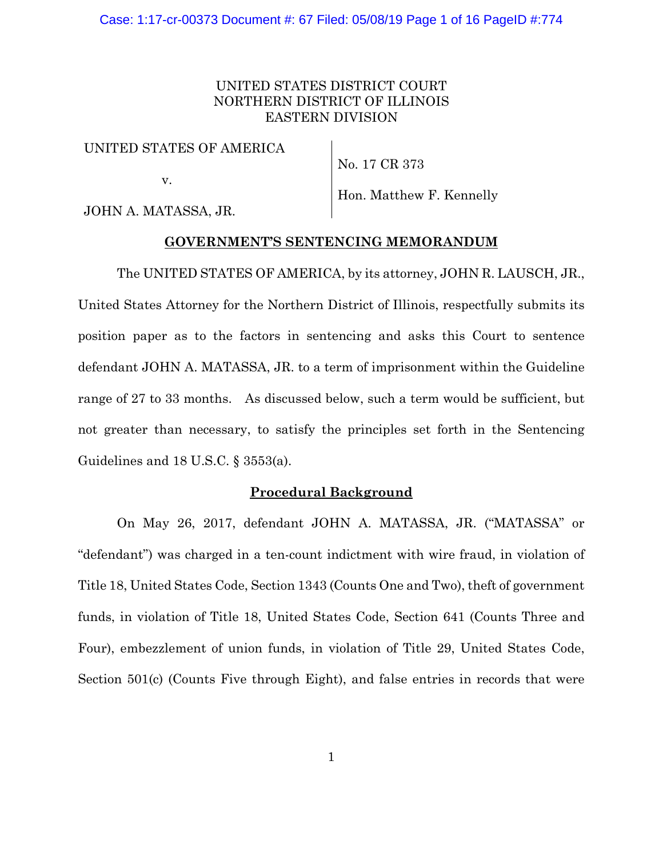# UNITED STATES DISTRICT COURT NORTHERN DISTRICT OF ILLINOIS EASTERN DIVISION

## UNITED STATES OF AMERICA

v.

No. 17 CR 373

Hon. Matthew F. Kennelly

JOHN A. MATASSA, JR.

# **GOVERNMENT'S SENTENCING MEMORANDUM**

The UNITED STATES OF AMERICA, by its attorney, JOHN R. LAUSCH, JR., United States Attorney for the Northern District of Illinois, respectfully submits its position paper as to the factors in sentencing and asks this Court to sentence defendant JOHN A. MATASSA, JR. to a term of imprisonment within the Guideline range of 27 to 33 months. As discussed below, such a term would be sufficient, but not greater than necessary, to satisfy the principles set forth in the Sentencing Guidelines and 18 U.S.C. § 3553(a).

# **Procedural Background**

On May 26, 2017, defendant JOHN A. MATASSA, JR. ("MATASSA" or "defendant") was charged in a ten-count indictment with wire fraud, in violation of Title 18, United States Code, Section 1343 (Counts One and Two), theft of government funds, in violation of Title 18, United States Code, Section 641 (Counts Three and Four), embezzlement of union funds, in violation of Title 29, United States Code, Section 501(c) (Counts Five through Eight), and false entries in records that were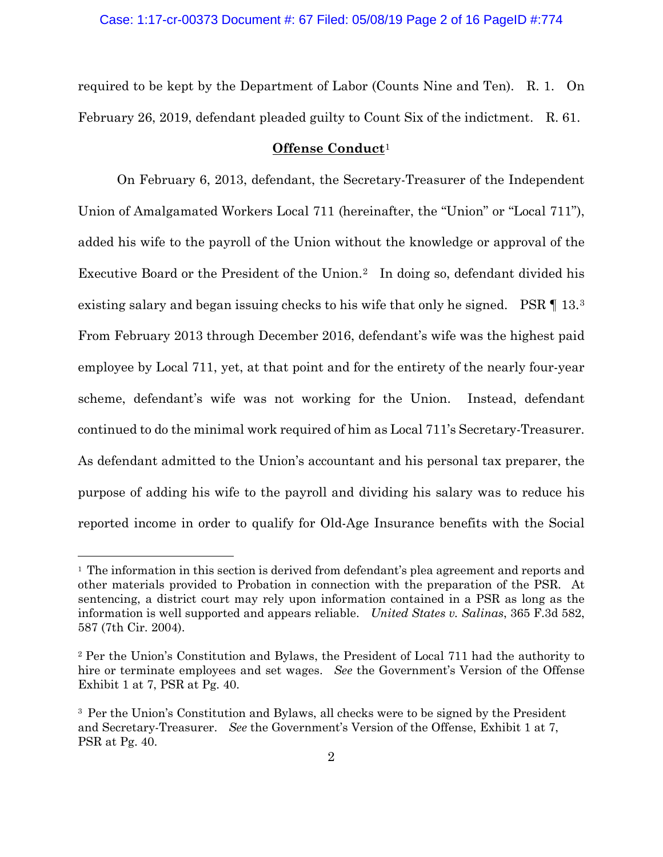required to be kept by the Department of Labor (Counts Nine and Ten). R. 1. On February 26, 2019, defendant pleaded guilty to Count Six of the indictment. R. 61.

### **Offense Conduct**<sup>1</sup>

On February 6, 2013, defendant, the Secretary-Treasurer of the Independent Union of Amalgamated Workers Local 711 (hereinafter, the "Union" or "Local 711"), added his wife to the payroll of the Union without the knowledge or approval of the Executive Board or the President of the Union.<sup>2</sup> In doing so, defendant divided his existing salary and began issuing checks to his wife that only he signed. PSR  $\P$  13.<sup>3</sup> From February 2013 through December 2016, defendant's wife was the highest paid employee by Local 711, yet, at that point and for the entirety of the nearly four-year scheme, defendant's wife was not working for the Union. Instead, defendant continued to do the minimal work required of him as Local 711's Secretary-Treasurer. As defendant admitted to the Union's accountant and his personal tax preparer, the purpose of adding his wife to the payroll and dividing his salary was to reduce his reported income in order to qualify for Old-Age Insurance benefits with the Social

<sup>1</sup> The information in this section is derived from defendant's plea agreement and reports and other materials provided to Probation in connection with the preparation of the PSR. At sentencing, a district court may rely upon information contained in a PSR as long as the information is well supported and appears reliable. *United States v. Salinas*, 365 F.3d 582, 587 (7th Cir. 2004).

<sup>2</sup> Per the Union's Constitution and Bylaws, the President of Local 711 had the authority to hire or terminate employees and set wages. *See* the Government's Version of the Offense Exhibit 1 at 7, PSR at Pg. 40.

<sup>&</sup>lt;sup>3</sup> Per the Union's Constitution and Bylaws, all checks were to be signed by the President and Secretary-Treasurer. *See* the Government's Version of the Offense, Exhibit 1 at 7, PSR at Pg. 40.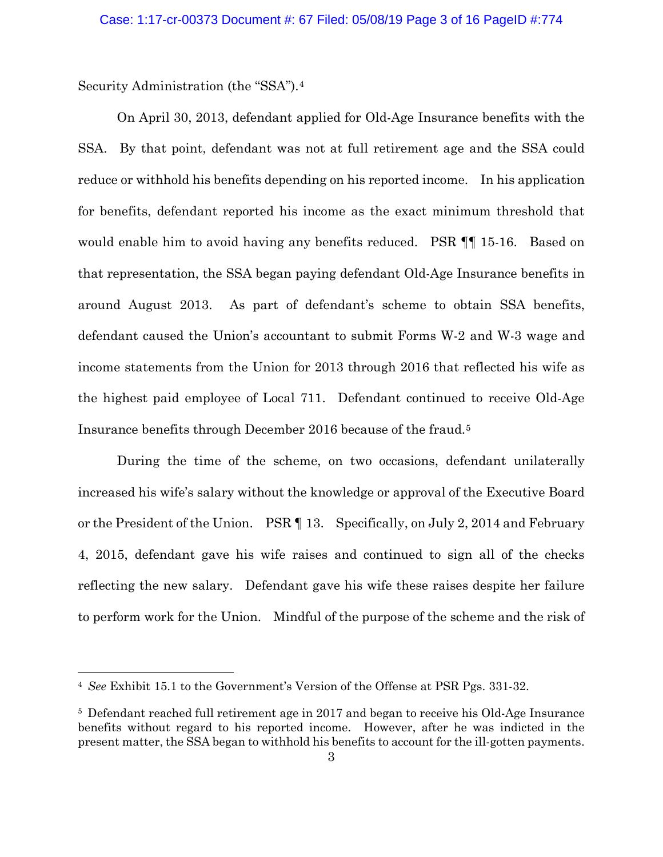Security Administration (the "SSA").4

On April 30, 2013, defendant applied for Old-Age Insurance benefits with the SSA. By that point, defendant was not at full retirement age and the SSA could reduce or withhold his benefits depending on his reported income. In his application for benefits, defendant reported his income as the exact minimum threshold that would enable him to avoid having any benefits reduced. PSR ¶¶ 15-16. Based on that representation, the SSA began paying defendant Old-Age Insurance benefits in around August 2013. As part of defendant's scheme to obtain SSA benefits, defendant caused the Union's accountant to submit Forms W-2 and W-3 wage and income statements from the Union for 2013 through 2016 that reflected his wife as the highest paid employee of Local 711. Defendant continued to receive Old-Age Insurance benefits through December 2016 because of the fraud.5

During the time of the scheme, on two occasions, defendant unilaterally increased his wife's salary without the knowledge or approval of the Executive Board or the President of the Union. PSR ¶ 13. Specifically, on July 2, 2014 and February 4, 2015, defendant gave his wife raises and continued to sign all of the checks reflecting the new salary. Defendant gave his wife these raises despite her failure to perform work for the Union. Mindful of the purpose of the scheme and the risk of

<sup>4</sup> *See* Exhibit 15.1 to the Government's Version of the Offense at PSR Pgs. 331-32.

<sup>5</sup> Defendant reached full retirement age in 2017 and began to receive his Old-Age Insurance benefits without regard to his reported income. However, after he was indicted in the present matter, the SSA began to withhold his benefits to account for the ill-gotten payments.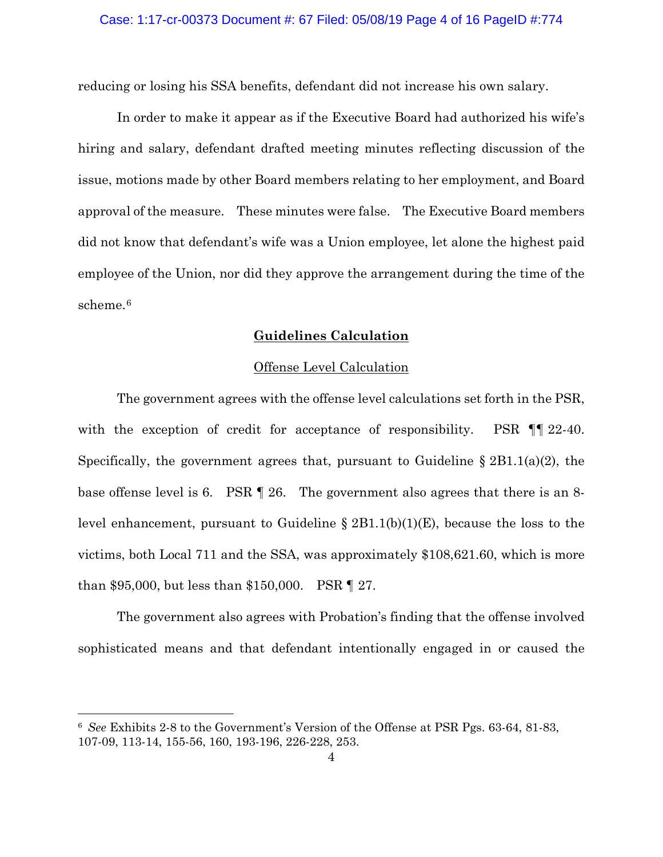reducing or losing his SSA benefits, defendant did not increase his own salary.

In order to make it appear as if the Executive Board had authorized his wife's hiring and salary, defendant drafted meeting minutes reflecting discussion of the issue, motions made by other Board members relating to her employment, and Board approval of the measure. These minutes were false. The Executive Board members did not know that defendant's wife was a Union employee, let alone the highest paid employee of the Union, nor did they approve the arrangement during the time of the scheme.6

# **Guidelines Calculation**

### Offense Level Calculation

The government agrees with the offense level calculations set forth in the PSR, with the exception of credit for acceptance of responsibility. PSR  $\P$  122-40. Specifically, the government agrees that, pursuant to Guideline § 2B1.1(a)(2), the base offense level is 6. PSR ¶ 26. The government also agrees that there is an 8 level enhancement, pursuant to Guideline § 2B1.1(b)(1)(E), because the loss to the victims, both Local 711 and the SSA, was approximately \$108,621.60, which is more than \$95,000, but less than \$150,000. PSR ¶ 27.

The government also agrees with Probation's finding that the offense involved sophisticated means and that defendant intentionally engaged in or caused the

<sup>6</sup> *See* Exhibits 2-8 to the Government's Version of the Offense at PSR Pgs. 63-64, 81-83, 107-09, 113-14, 155-56, 160, 193-196, 226-228, 253.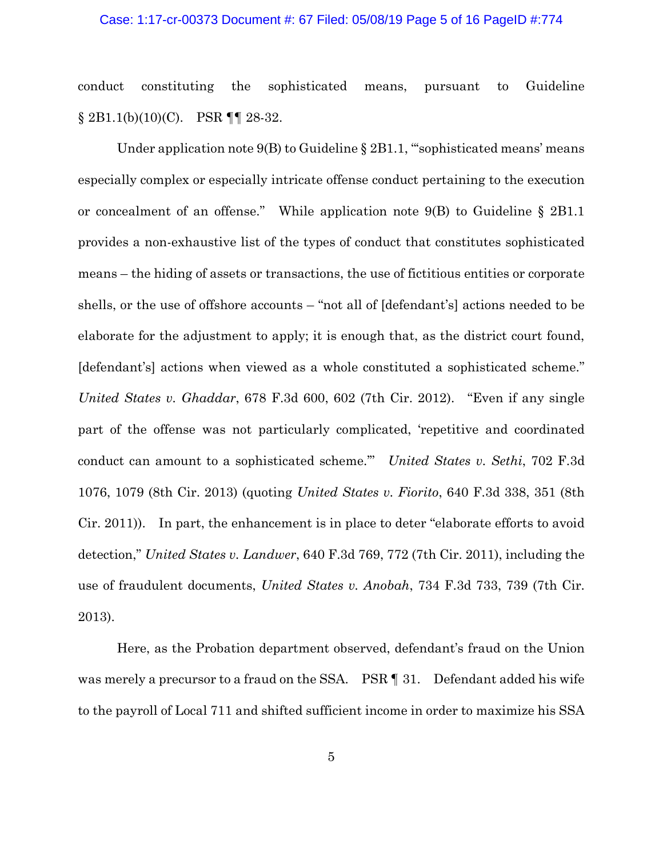#### Case: 1:17-cr-00373 Document #: 67 Filed: 05/08/19 Page 5 of 16 PageID #:774

conduct constituting the sophisticated means, pursuant to Guideline  $§ 2B1.1(b)(10)(C)$ . PSR ¶ [ 28-32.

Under application note 9(B) to Guideline § 2B1.1, "sophisticated means' means especially complex or especially intricate offense conduct pertaining to the execution or concealment of an offense." While application note 9(B) to Guideline § 2B1.1 provides a non-exhaustive list of the types of conduct that constitutes sophisticated means – the hiding of assets or transactions, the use of fictitious entities or corporate shells, or the use of offshore accounts – "not all of [defendant's] actions needed to be elaborate for the adjustment to apply; it is enough that, as the district court found, [defendant's] actions when viewed as a whole constituted a sophisticated scheme." *United States v. Ghaddar*, 678 F.3d 600, 602 (7th Cir. 2012). "Even if any single part of the offense was not particularly complicated, 'repetitive and coordinated conduct can amount to a sophisticated scheme.'" *United States v. Sethi*, 702 F.3d 1076, 1079 (8th Cir. 2013) (quoting *United States v. Fiorito*, 640 F.3d 338, 351 (8th Cir. 2011)). In part, the enhancement is in place to deter "elaborate efforts to avoid detection," *United States v. Landwer*, 640 F.3d 769, 772 (7th Cir. 2011), including the use of fraudulent documents, *United States v. Anobah*, 734 F.3d 733, 739 (7th Cir. 2013).

Here, as the Probation department observed, defendant's fraud on the Union was merely a precursor to a fraud on the SSA. PSR | 31. Defendant added his wife to the payroll of Local 711 and shifted sufficient income in order to maximize his SSA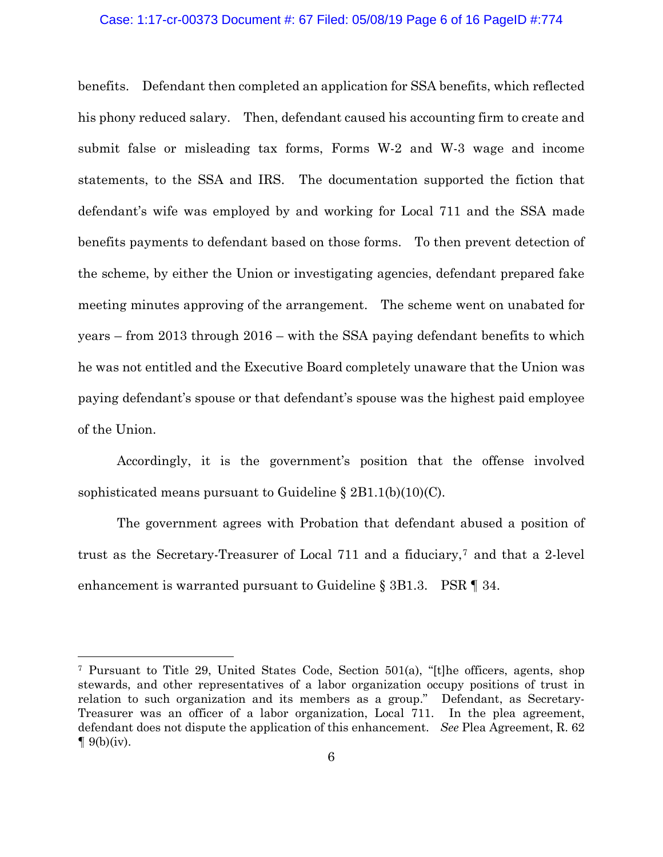#### Case: 1:17-cr-00373 Document #: 67 Filed: 05/08/19 Page 6 of 16 PageID #:774

benefits. Defendant then completed an application for SSA benefits, which reflected his phony reduced salary. Then, defendant caused his accounting firm to create and submit false or misleading tax forms, Forms W-2 and W-3 wage and income statements, to the SSA and IRS. The documentation supported the fiction that defendant's wife was employed by and working for Local 711 and the SSA made benefits payments to defendant based on those forms. To then prevent detection of the scheme, by either the Union or investigating agencies, defendant prepared fake meeting minutes approving of the arrangement. The scheme went on unabated for years – from 2013 through 2016 – with the SSA paying defendant benefits to which he was not entitled and the Executive Board completely unaware that the Union was paying defendant's spouse or that defendant's spouse was the highest paid employee of the Union.

Accordingly, it is the government's position that the offense involved sophisticated means pursuant to Guideline  $\S 2B1.1(b)(10)(C)$ .

The government agrees with Probation that defendant abused a position of trust as the Secretary-Treasurer of Local 711 and a fiduciary,7 and that a 2-level enhancement is warranted pursuant to Guideline  $\S 3B1.3$ . PSR  $\P 34$ .

<sup>7</sup> Pursuant to Title 29, United States Code, Section 501(a), "[t]he officers, agents, shop stewards, and other representatives of a labor organization occupy positions of trust in relation to such organization and its members as a group." Defendant, as Secretary-Treasurer was an officer of a labor organization, Local 711. In the plea agreement, defendant does not dispute the application of this enhancement. *See* Plea Agreement, R. 62  $\P$  9(b)(iv).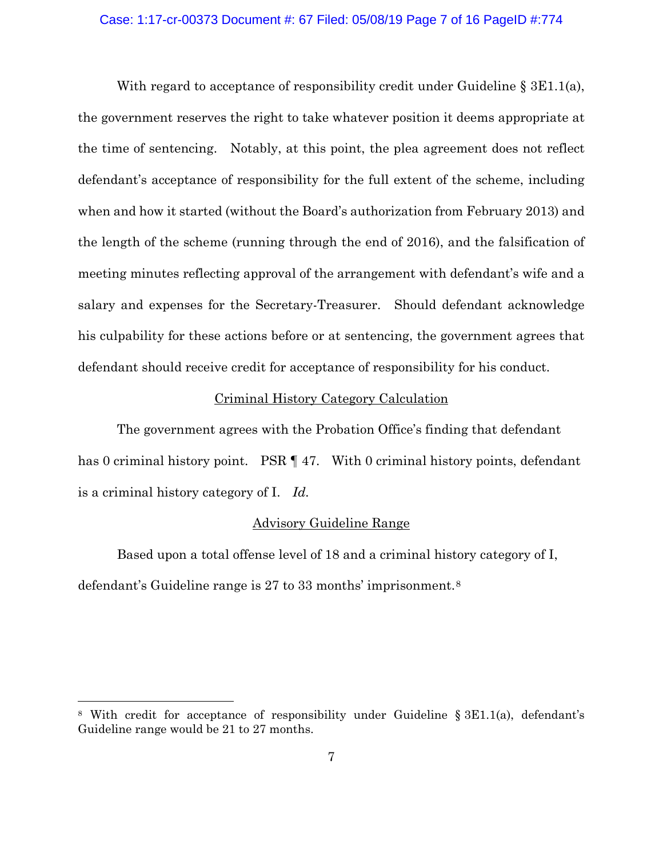### Case: 1:17-cr-00373 Document #: 67 Filed: 05/08/19 Page 7 of 16 PageID #:774

With regard to acceptance of responsibility credit under Guideline  $\S 3E1.1(a)$ , the government reserves the right to take whatever position it deems appropriate at the time of sentencing. Notably, at this point, the plea agreement does not reflect defendant's acceptance of responsibility for the full extent of the scheme, including when and how it started (without the Board's authorization from February 2013) and the length of the scheme (running through the end of 2016), and the falsification of meeting minutes reflecting approval of the arrangement with defendant's wife and a salary and expenses for the Secretary-Treasurer. Should defendant acknowledge his culpability for these actions before or at sentencing, the government agrees that defendant should receive credit for acceptance of responsibility for his conduct.

### Criminal History Category Calculation

The government agrees with the Probation Office's finding that defendant has 0 criminal history point. PSR  $\P$  47. With 0 criminal history points, defendant is a criminal history category of I. *Id.*

### Advisory Guideline Range

Based upon a total offense level of 18 and a criminal history category of I, defendant's Guideline range is 27 to 33 months' imprisonment.8

<sup>8</sup> With credit for acceptance of responsibility under Guideline § 3E1.1(a), defendant's Guideline range would be 21 to 27 months.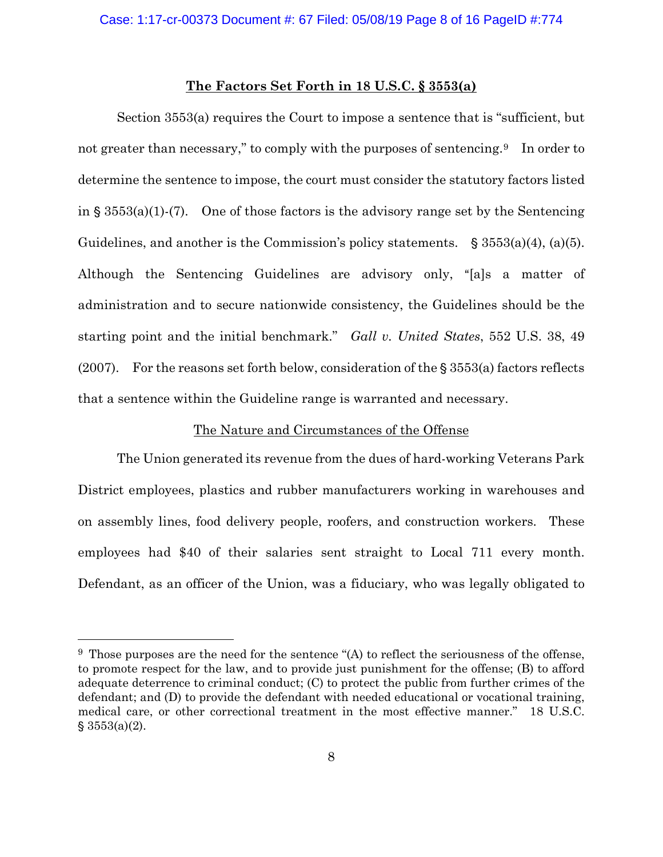#### **The Factors Set Forth in 18 U.S.C. § 3553(a)**

Section 3553(a) requires the Court to impose a sentence that is "sufficient, but not greater than necessary," to comply with the purposes of sentencing.<sup>9</sup> In order to determine the sentence to impose, the court must consider the statutory factors listed in  $\S 3553(a)(1)-(7)$ . One of those factors is the advisory range set by the Sentencing Guidelines, and another is the Commission's policy statements.  $\S 3553(a)(4)$ , (a)(5). Although the Sentencing Guidelines are advisory only, "[a]s a matter of administration and to secure nationwide consistency, the Guidelines should be the starting point and the initial benchmark." *Gall v. United States*, 552 U.S. 38, 49 (2007). For the reasons set forth below, consideration of the  $\S$  3553(a) factors reflects that a sentence within the Guideline range is warranted and necessary.

### The Nature and Circumstances of the Offense

The Union generated its revenue from the dues of hard-working Veterans Park District employees, plastics and rubber manufacturers working in warehouses and on assembly lines, food delivery people, roofers, and construction workers. These employees had \$40 of their salaries sent straight to Local 711 every month. Defendant, as an officer of the Union, was a fiduciary, who was legally obligated to

 $9$  Those purposes are the need for the sentence "(A) to reflect the seriousness of the offense, to promote respect for the law, and to provide just punishment for the offense; (B) to afford adequate deterrence to criminal conduct; (C) to protect the public from further crimes of the defendant; and (D) to provide the defendant with needed educational or vocational training, medical care, or other correctional treatment in the most effective manner." 18 U.S.C.  $$3553(a)(2)$ .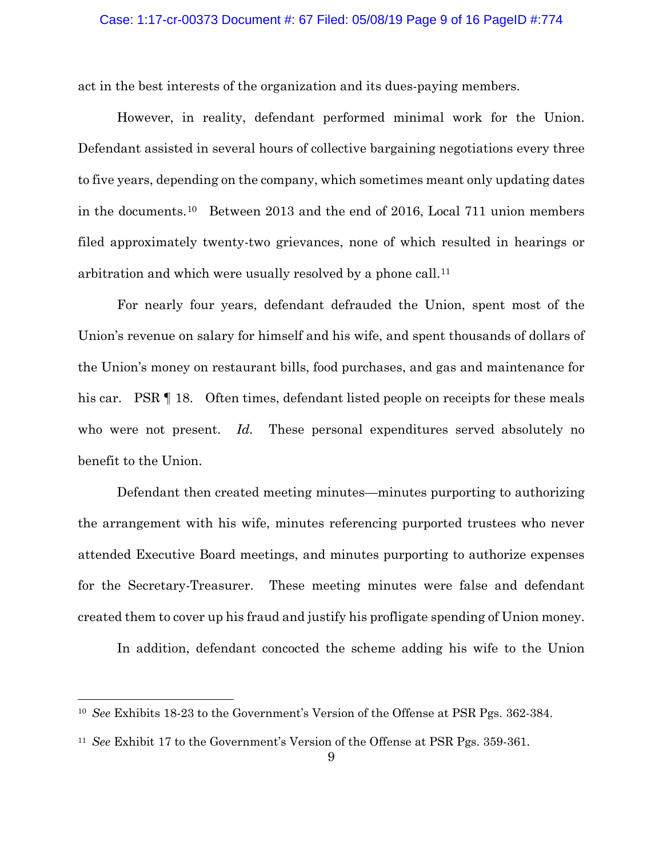act in the best interests of the organization and its dues-paying members.

However, in reality, defendant performed minimal work for the Union. Defendant assisted in several hours of collective bargaining negotiations every three to five years, depending on the company, which sometimes meant only updating dates in the documents.10 Between 2013 and the end of 2016, Local 711 union members filed approximately twenty-two grievances, none of which resulted in hearings or arbitration and which were usually resolved by a phone call.11

For nearly four years, defendant defrauded the Union, spent most of the Union's revenue on salary for himself and his wife, and spent thousands of dollars of the Union's money on restaurant bills, food purchases, and gas and maintenance for his car. PSR  $\P$  18. Often times, defendant listed people on receipts for these meals who were not present. *Id.* These personal expenditures served absolutely no benefit to the Union.

Defendant then created meeting minutes—minutes purporting to authorizing the arrangement with his wife, minutes referencing purported trustees who never attended Executive Board meetings, and minutes purporting to authorize expenses for the Secretary-Treasurer. These meeting minutes were false and defendant created them to cover up his fraud and justify his profligate spending of Union money.

In addition, defendant concocted the scheme adding his wife to the Union

<sup>10</sup> *See* Exhibits 18-23 to the Government's Version of the Offense at PSR Pgs. 362-384.

<sup>11</sup> *See* Exhibit 17 to the Government's Version of the Offense at PSR Pgs. 359-361.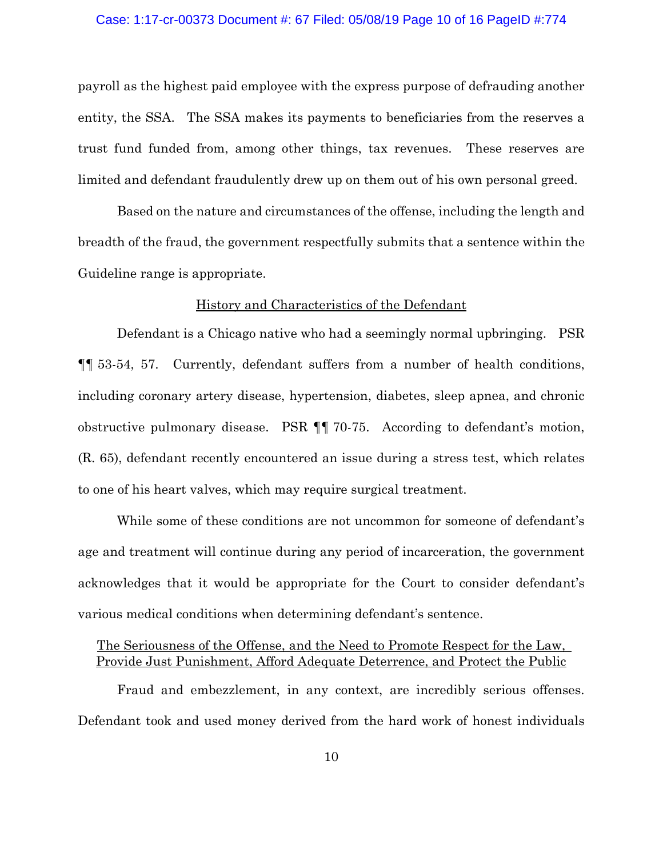#### Case: 1:17-cr-00373 Document #: 67 Filed: 05/08/19 Page 10 of 16 PageID #:774

payroll as the highest paid employee with the express purpose of defrauding another entity, the SSA. The SSA makes its payments to beneficiaries from the reserves a trust fund funded from, among other things, tax revenues. These reserves are limited and defendant fraudulently drew up on them out of his own personal greed.

Based on the nature and circumstances of the offense, including the length and breadth of the fraud, the government respectfully submits that a sentence within the Guideline range is appropriate.

### History and Characteristics of the Defendant

Defendant is a Chicago native who had a seemingly normal upbringing. PSR ¶¶ 53-54, 57. Currently, defendant suffers from a number of health conditions, including coronary artery disease, hypertension, diabetes, sleep apnea, and chronic obstructive pulmonary disease. PSR ¶¶ 70-75. According to defendant's motion, (R. 65), defendant recently encountered an issue during a stress test, which relates to one of his heart valves, which may require surgical treatment.

While some of these conditions are not uncommon for someone of defendant's age and treatment will continue during any period of incarceration, the government acknowledges that it would be appropriate for the Court to consider defendant's various medical conditions when determining defendant's sentence.

# The Seriousness of the Offense, and the Need to Promote Respect for the Law, Provide Just Punishment, Afford Adequate Deterrence, and Protect the Public

Fraud and embezzlement, in any context, are incredibly serious offenses. Defendant took and used money derived from the hard work of honest individuals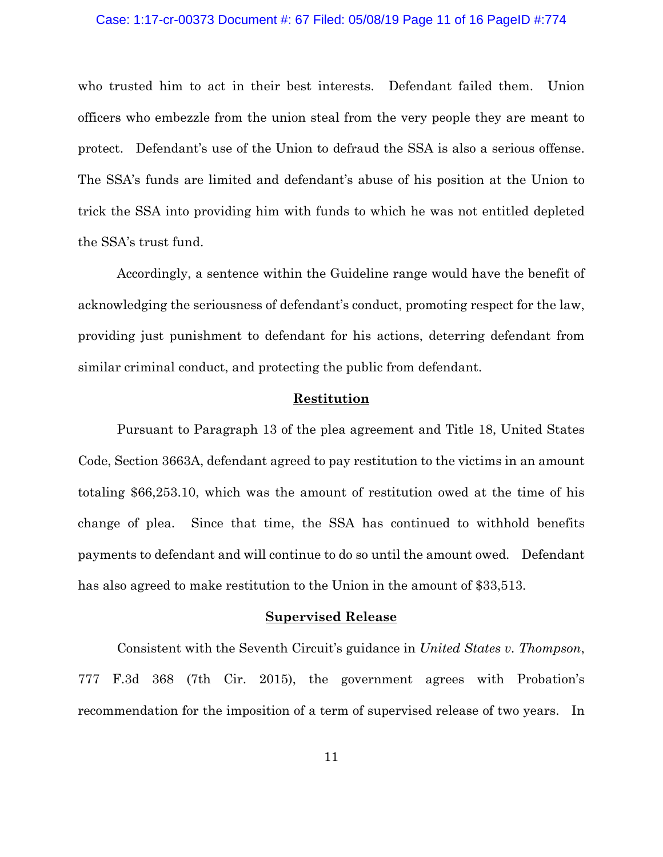#### Case: 1:17-cr-00373 Document #: 67 Filed: 05/08/19 Page 11 of 16 PageID #:774

who trusted him to act in their best interests. Defendant failed them. Union officers who embezzle from the union steal from the very people they are meant to protect. Defendant's use of the Union to defraud the SSA is also a serious offense. The SSA's funds are limited and defendant's abuse of his position at the Union to trick the SSA into providing him with funds to which he was not entitled depleted the SSA's trust fund.

Accordingly, a sentence within the Guideline range would have the benefit of acknowledging the seriousness of defendant's conduct, promoting respect for the law, providing just punishment to defendant for his actions, deterring defendant from similar criminal conduct, and protecting the public from defendant.

### **Restitution**

Pursuant to Paragraph 13 of the plea agreement and Title 18, United States Code, Section 3663A, defendant agreed to pay restitution to the victims in an amount totaling \$66,253.10, which was the amount of restitution owed at the time of his change of plea. Since that time, the SSA has continued to withhold benefits payments to defendant and will continue to do so until the amount owed. Defendant has also agreed to make restitution to the Union in the amount of \$33,513.

#### **Supervised Release**

Consistent with the Seventh Circuit's guidance in *United States v. Thompson*, 777 F.3d 368 (7th Cir. 2015), the government agrees with Probation's recommendation for the imposition of a term of supervised release of two years. In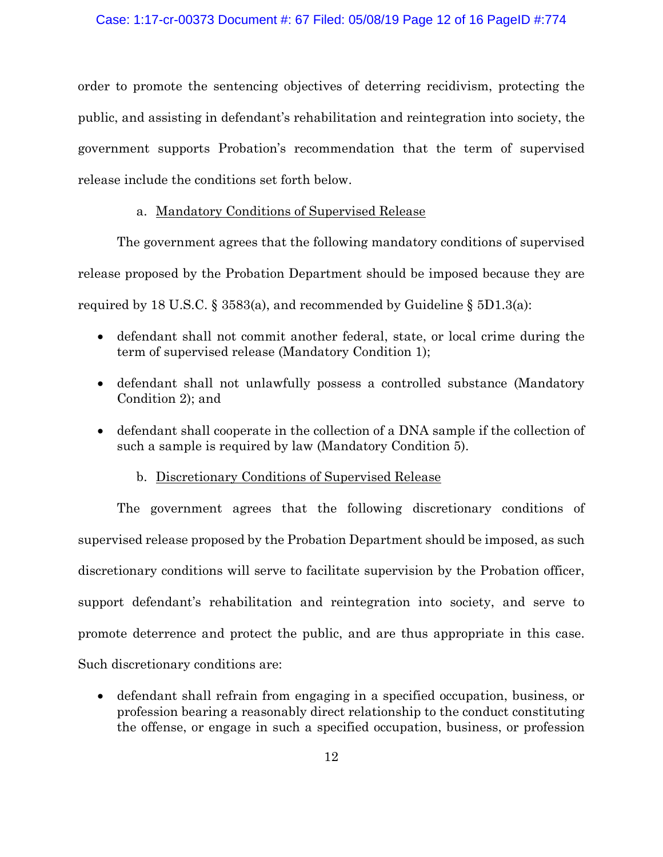order to promote the sentencing objectives of deterring recidivism, protecting the public, and assisting in defendant's rehabilitation and reintegration into society, the government supports Probation's recommendation that the term of supervised release include the conditions set forth below.

# a. Mandatory Conditions of Supervised Release

The government agrees that the following mandatory conditions of supervised release proposed by the Probation Department should be imposed because they are required by 18 U.S.C. § 3583(a), and recommended by Guideline § 5D1.3(a):

- defendant shall not commit another federal, state, or local crime during the term of supervised release (Mandatory Condition 1);
- defendant shall not unlawfully possess a controlled substance (Mandatory Condition 2); and
- defendant shall cooperate in the collection of a DNA sample if the collection of such a sample is required by law (Mandatory Condition 5).

# b. Discretionary Conditions of Supervised Release

The government agrees that the following discretionary conditions of supervised release proposed by the Probation Department should be imposed, as such discretionary conditions will serve to facilitate supervision by the Probation officer, support defendant's rehabilitation and reintegration into society, and serve to promote deterrence and protect the public, and are thus appropriate in this case. Such discretionary conditions are:

• defendant shall refrain from engaging in a specified occupation, business, or profession bearing a reasonably direct relationship to the conduct constituting the offense, or engage in such a specified occupation, business, or profession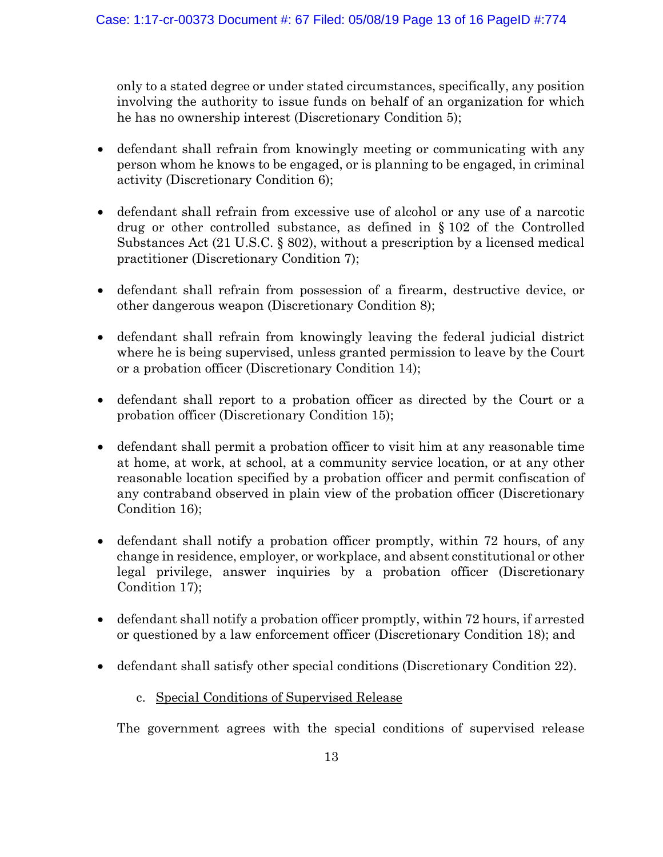only to a stated degree or under stated circumstances, specifically, any position involving the authority to issue funds on behalf of an organization for which he has no ownership interest (Discretionary Condition 5);

- defendant shall refrain from knowingly meeting or communicating with any person whom he knows to be engaged, or is planning to be engaged, in criminal activity (Discretionary Condition 6);
- defendant shall refrain from excessive use of alcohol or any use of a narcotic drug or other controlled substance, as defined in § 102 of the Controlled Substances Act (21 U.S.C. § 802), without a prescription by a licensed medical practitioner (Discretionary Condition 7);
- defendant shall refrain from possession of a firearm, destructive device, or other dangerous weapon (Discretionary Condition 8);
- defendant shall refrain from knowingly leaving the federal judicial district where he is being supervised, unless granted permission to leave by the Court or a probation officer (Discretionary Condition 14);
- defendant shall report to a probation officer as directed by the Court or a probation officer (Discretionary Condition 15);
- defendant shall permit a probation officer to visit him at any reasonable time at home, at work, at school, at a community service location, or at any other reasonable location specified by a probation officer and permit confiscation of any contraband observed in plain view of the probation officer (Discretionary Condition 16);
- defendant shall notify a probation officer promptly, within 72 hours, of any change in residence, employer, or workplace, and absent constitutional or other legal privilege, answer inquiries by a probation officer (Discretionary Condition 17);
- defendant shall notify a probation officer promptly, within 72 hours, if arrested or questioned by a law enforcement officer (Discretionary Condition 18); and
- defendant shall satisfy other special conditions (Discretionary Condition 22).
	- c. Special Conditions of Supervised Release

The government agrees with the special conditions of supervised release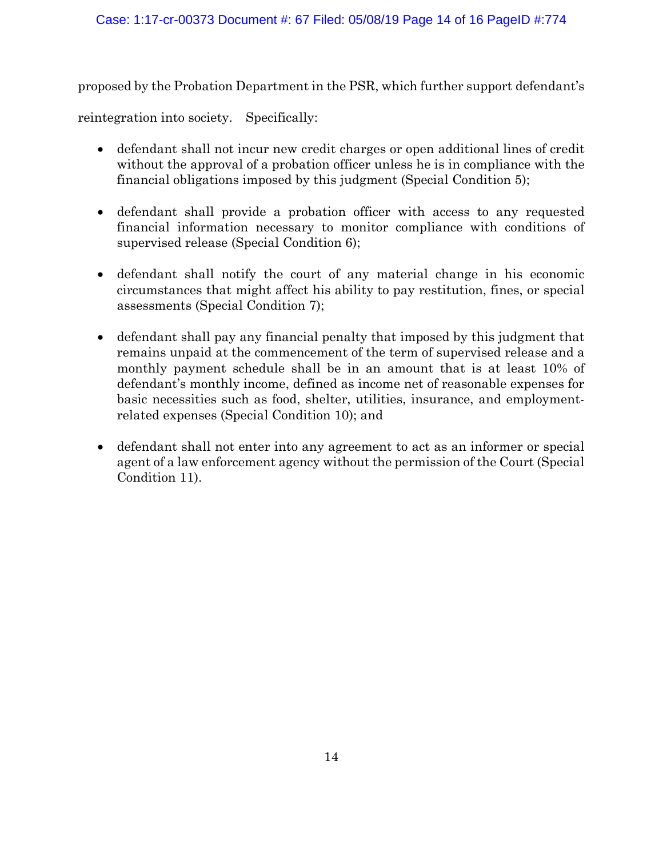proposed by the Probation Department in the PSR, which further support defendant's

reintegration into society. Specifically:

- defendant shall not incur new credit charges or open additional lines of credit without the approval of a probation officer unless he is in compliance with the financial obligations imposed by this judgment (Special Condition 5);
- defendant shall provide a probation officer with access to any requested financial information necessary to monitor compliance with conditions of supervised release (Special Condition 6);
- defendant shall notify the court of any material change in his economic circumstances that might affect his ability to pay restitution, fines, or special assessments (Special Condition 7);
- defendant shall pay any financial penalty that imposed by this judgment that remains unpaid at the commencement of the term of supervised release and a monthly payment schedule shall be in an amount that is at least 10% of defendant's monthly income, defined as income net of reasonable expenses for basic necessities such as food, shelter, utilities, insurance, and employmentrelated expenses (Special Condition 10); and
- defendant shall not enter into any agreement to act as an informer or special agent of a law enforcement agency without the permission of the Court (Special Condition 11).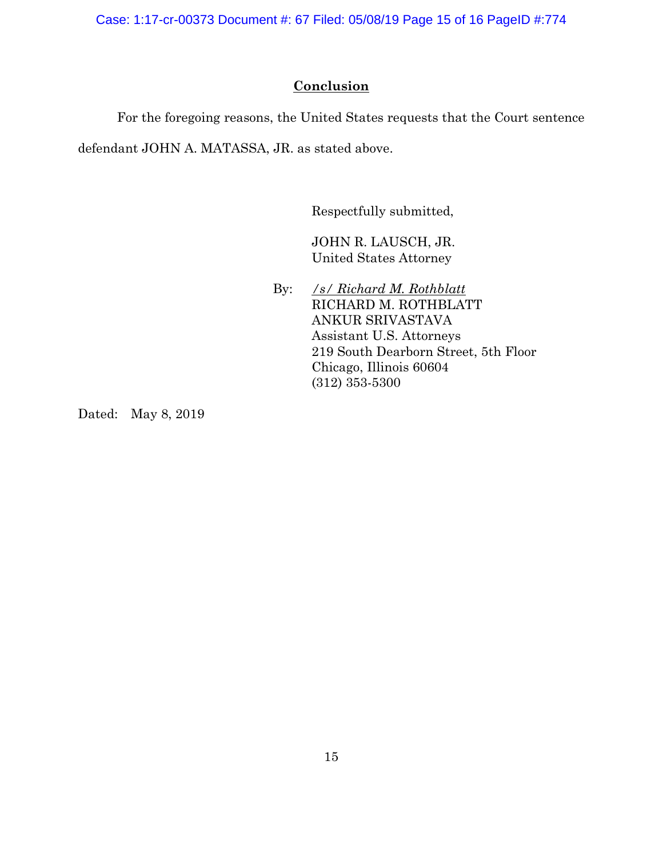Case: 1:17-cr-00373 Document #: 67 Filed: 05/08/19 Page 15 of 16 PageID #:774

# **Conclusion**

For the foregoing reasons, the United States requests that the Court sentence

defendant JOHN A. MATASSA, JR. as stated above.

Respectfully submitted,

JOHN R. LAUSCH, JR. United States Attorney

By: */s/ Richard M. Rothblatt* RICHARD M. ROTHBLATT ANKUR SRIVASTAVA Assistant U.S. Attorneys 219 South Dearborn Street, 5th Floor Chicago, Illinois 60604 (312) 353-5300

Dated: May 8, 2019